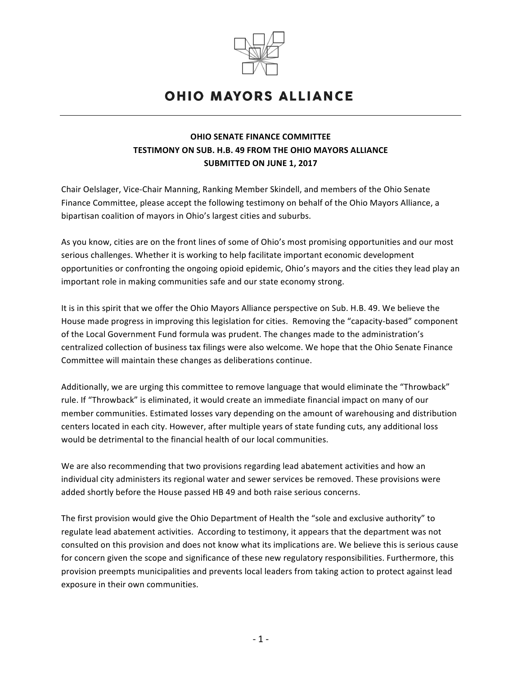

## **OHIO MAYORS ALLIANCE**

## **OHIO SENATE FINANCE COMMITTEE TESTIMONY ON SUB. H.B. 49 FROM THE OHIO MAYORS ALLIANCE SUBMITTED ON JUNE 1, 2017**

Chair Oelslager, Vice-Chair Manning, Ranking Member Skindell, and members of the Ohio Senate Finance Committee, please accept the following testimony on behalf of the Ohio Mayors Alliance, a bipartisan coalition of mayors in Ohio's largest cities and suburbs.

As you know, cities are on the front lines of some of Ohio's most promising opportunities and our most serious challenges. Whether it is working to help facilitate important economic development opportunities or confronting the ongoing opioid epidemic, Ohio's mayors and the cities they lead play an important role in making communities safe and our state economy strong.

It is in this spirit that we offer the Ohio Mayors Alliance perspective on Sub. H.B. 49. We believe the House made progress in improving this legislation for cities. Removing the "capacity-based" component of the Local Government Fund formula was prudent. The changes made to the administration's centralized collection of business tax filings were also welcome. We hope that the Ohio Senate Finance Committee will maintain these changes as deliberations continue.

Additionally, we are urging this committee to remove language that would eliminate the "Throwback" rule. If "Throwback" is eliminated, it would create an immediate financial impact on many of our member communities. Estimated losses vary depending on the amount of warehousing and distribution centers located in each city. However, after multiple years of state funding cuts, any additional loss would be detrimental to the financial health of our local communities.

We are also recommending that two provisions regarding lead abatement activities and how an individual city administers its regional water and sewer services be removed. These provisions were added shortly before the House passed HB 49 and both raise serious concerns.

The first provision would give the Ohio Department of Health the "sole and exclusive authority" to regulate lead abatement activities. According to testimony, it appears that the department was not consulted on this provision and does not know what its implications are. We believe this is serious cause for concern given the scope and significance of these new regulatory responsibilities. Furthermore, this provision preempts municipalities and prevents local leaders from taking action to protect against lead exposure in their own communities.